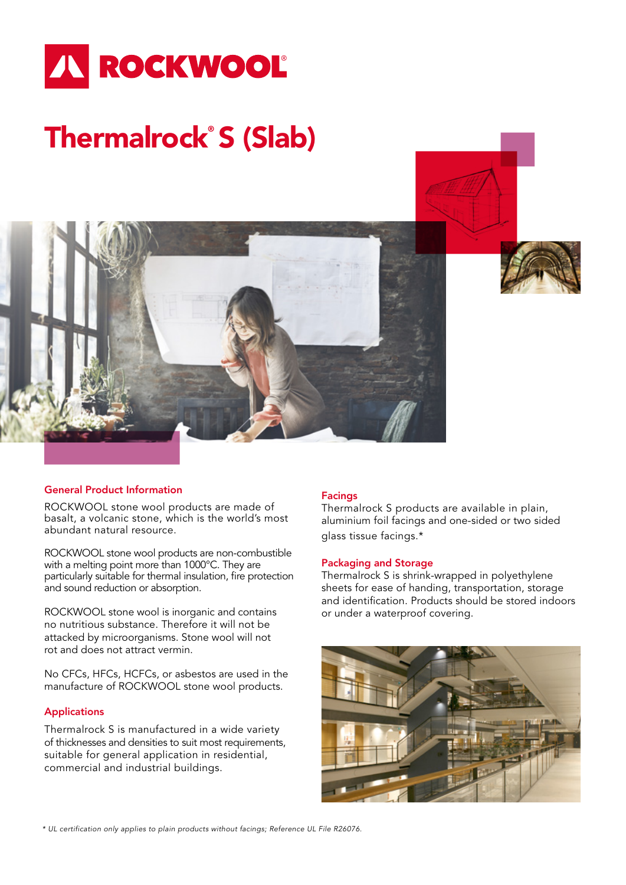

# Thermalrock® S (Slab)

## General Product Information

ROCKWOOL stone wool products are made of basalt, a volcanic stone, which is the world's most abundant natural resource.

ROCKWOOL stone wool products are non-combustible with a melting point more than 1000°C. They are particularly suitable for thermal insulation, fire protection and sound reduction or absorption.

ROCKWOOL stone wool is inorganic and contains no nutritious substance. Therefore it will not be attacked by microorganisms. Stone wool will not rot and does not attract vermin.

No CFCs, HFCs, HCFCs, or asbestos are used in the manufacture of ROCKWOOL stone wool products.

#### Applications

Thermalrock S is manufactured in a wide variety of thicknesses and densities to suit most requirements, suitable for general application in residential, commercial and industrial buildings.

#### Facings

Thermalrock S products are available in plain, aluminium foil facings and one-sided or two sided glass tissue facings.\*

#### Packaging and Storage

Thermalrock S is shrink-wrapped in polyethylene sheets for ease of handing, transportation, storage and identification. Products should be stored indoors or under a waterproof covering.